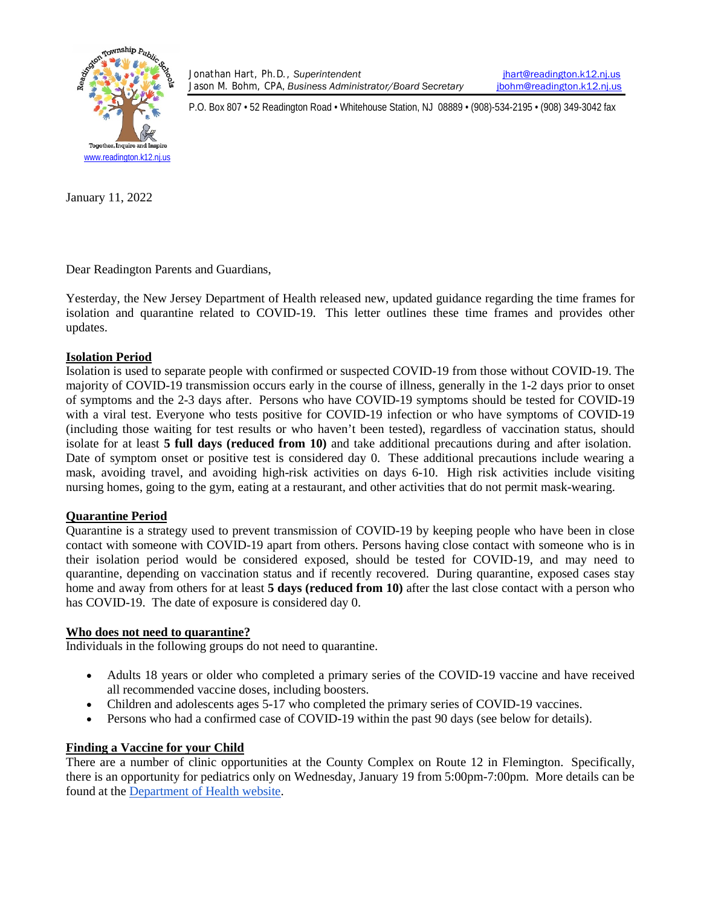

Jonathan Hart, Ph.D., *Superintendent* [jhart@readington.k12.nj.us](mailto:jhart@readington.k12.nj.us) Jason M. Bohm, CPA, *Business Administrator/Board Secretary* [jbohm@readington.k12.nj.us](mailto:jbohm@readington.k12.nj.us)

P.O. Box 807 • 52 Readington Road • Whitehouse Station, NJ 08889 • (908)-534-2195 • (908) 349-3042 fax

January 11, 2022

Dear Readington Parents and Guardians,

Yesterday, the New Jersey Department of Health released new, updated guidance regarding the time frames for isolation and quarantine related to COVID-19. This letter outlines these time frames and provides other updates.

### **Isolation Period**

Isolation is used to separate people with confirmed or suspected COVID-19 from those without COVID-19. The majority of COVID-19 transmission occurs early in the course of illness, generally in the 1-2 days prior to onset of symptoms and the 2-3 days after. Persons who have COVID-19 symptoms should be tested for COVID-19 with a viral test. Everyone who tests positive for COVID-19 infection or who have symptoms of COVID-19 (including those waiting for test results or who haven't been tested), regardless of vaccination status, should isolate for at least **5 full days (reduced from 10)** and take additional precautions during and after isolation. Date of symptom onset or positive test is considered day 0. These additional precautions include wearing a mask, avoiding travel, and avoiding high-risk activities on days 6-10. High risk activities include visiting nursing homes, going to the gym, eating at a restaurant, and other activities that do not permit mask-wearing.

### **Quarantine Period**

Quarantine is a strategy used to prevent transmission of COVID-19 by keeping people who have been in close contact with someone with COVID-19 apart from others. Persons having close contact with someone who is in their isolation period would be considered exposed, should be tested for COVID-19, and may need to quarantine, depending on vaccination status and if recently recovered. During quarantine, exposed cases stay home and away from others for at least **5 days (reduced from 10)** after the last close contact with a person who has COVID-19. The date of exposure is considered day 0.

#### **Who does not need to quarantine?**

Individuals in the following groups do not need to quarantine.

- Adults 18 years or older who completed a primary series of the COVID-19 vaccine and have received all recommended vaccine doses, including boosters.
- Children and adolescents ages 5-17 who completed the primary series of COVID-19 vaccines.
- Persons who had a confirmed case of COVID-19 within the past 90 days (see below for details).

### **Finding a Vaccine for your Child**

There are a number of clinic opportunities at the County Complex on Route 12 in Flemington. Specifically, there is an opportunity for pediatrics only on Wednesday, January 19 from 5:00pm-7:00pm. More details can be found at the [Department of Health website.](https://www.co.hunterdon.nj.us/Coronavirus/clinics.html)